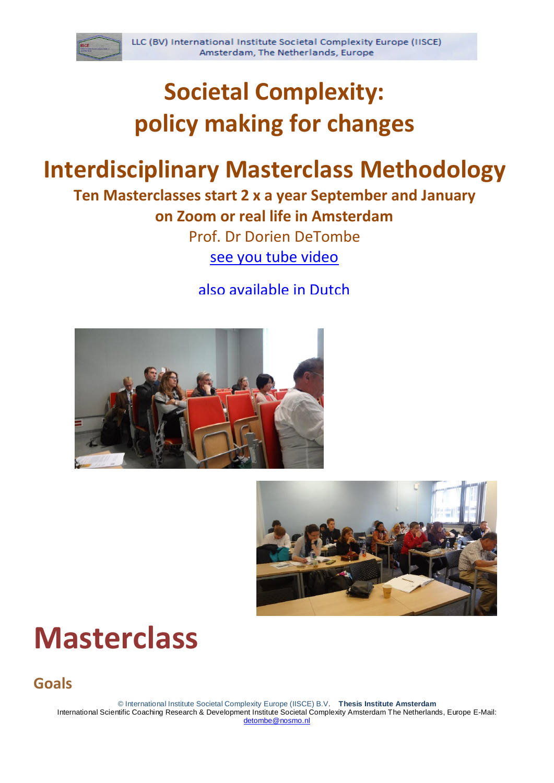## **Societal Complexity: policy making for changes**

## **Interdisciplinary Masterclass Methodology**

### **Ten Masterclasses start 2 x a year September and January on Zoom or real life in Amsterdam**

Prof. Dr Dorien DeTombe [see you tube video](https://www.youtube.com/watch?v=T5uTauDRQWk&feature=youtu.be)

 [also available in Dutch](http://www.complexitycourse.org/detombecursuscomplexiteituva.pdf)





# **Masterclass**

**Goals**

© International Institute Societal Complexity Europe (IISCE) B.V. **Thesis Institute Amsterdam** International Scientific Coaching Research & Development Institute Societal Complexity Amsterdam The Netherlands, Europe E-Mail: detombe@nosmo.nl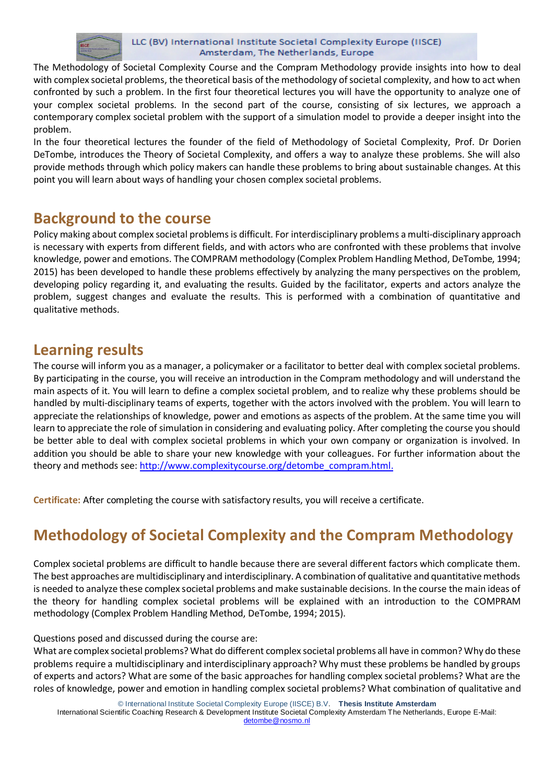

#### LLC (BV) International Institute Societal Complexity Europe (IISCE) Amsterdam, The Netherlands, Europe

The Methodology of Societal Complexity Course and the Compram Methodology provide insights into how to deal with complex societal problems, the theoretical basis of the methodology of societal complexity, and how to act when confronted by such a problem. In the first four theoretical lectures you will have the opportunity to analyze one of your complex societal problems. In the second part of the course, consisting of six lectures, we approach a contemporary complex societal problem with the support of a simulation model to provide a deeper insight into the problem.

In the four theoretical lectures the founder of the field of Methodology of Societal Complexity, Prof. Dr Dorien DeTombe, introduces the Theory of Societal Complexity, and offers a way to analyze these problems. She will also provide methods through which policy makers can handle these problems to bring about sustainable changes. At this point you will learn about ways of handling your chosen complex societal problems.

#### **Background to the course**

Policy making about complex societal problems is difficult. For interdisciplinary problems a multi-disciplinary approach is necessary with experts from different fields, and with actors who are confronted with these problems that involve knowledge, power and emotions. The COMPRAM methodology (Complex Problem Handling Method, DeTombe, 1994; 2015) has been developed to handle these problems effectively by analyzing the many perspectives on the problem, developing policy regarding it, and evaluating the results. Guided by the facilitator, experts and actors analyze the problem, suggest changes and evaluate the results. This is performed with a combination of quantitative and qualitative methods.

#### **Learning results**

The course will inform you as a manager, a policymaker or a facilitator to better deal with complex societal problems. By participating in the course, you will receive an introduction in the Compram methodology and will understand the main aspects of it. You will learn to define a complex societal problem, and to realize why these problems should be handled by multi-disciplinary teams of experts, together with the actors involved with the problem. You will learn to appreciate the relationships of knowledge, power and emotions as aspects of the problem. At the same time you will learn to appreciate the role of simulation in considering and evaluating policy. After completing the course you should be better able to deal with complex societal problems in which your own company or organization is involved. In addition you should be able to share your new knowledge with your colleagues. For further information about the theory and methods see: [http://www.complexitycourse.org/detombe\\_compram.html.](http://www.complexitycourse.org/detombe_compram.html)

**Certificate:** After completing the course with satisfactory results, you will receive a certificate.

### **Methodology of Societal Complexity and the Compram Methodology**

Complex societal problems are difficult to handle because there are several different factors which complicate them. The best approaches are multidisciplinary and interdisciplinary. A combination of qualitative and quantitative methods is needed to analyze these complex societal problems and make sustainable decisions. In the course the main ideas of the theory for handling complex societal problems will be explained with an introduction to the COMPRAM methodology (Complex Problem Handling Method, DeTombe, 1994; 2015).

Questions posed and discussed during the course are:

What are complex societal problems? What do different complex societal problems all have in common? Why do these problems require a multidisciplinary and interdisciplinary approach? Why must these problems be handled by groups of experts and actors? What are some of the basic approaches for handling complex societal problems? What are the roles of knowledge, power and emotion in handling complex societal problems? What combination of qualitative and

International Scientific Coaching Research & Development Institute Societal Complexity Amsterdam The Netherlands, Europe E-Mail: detombe@nosmo.nl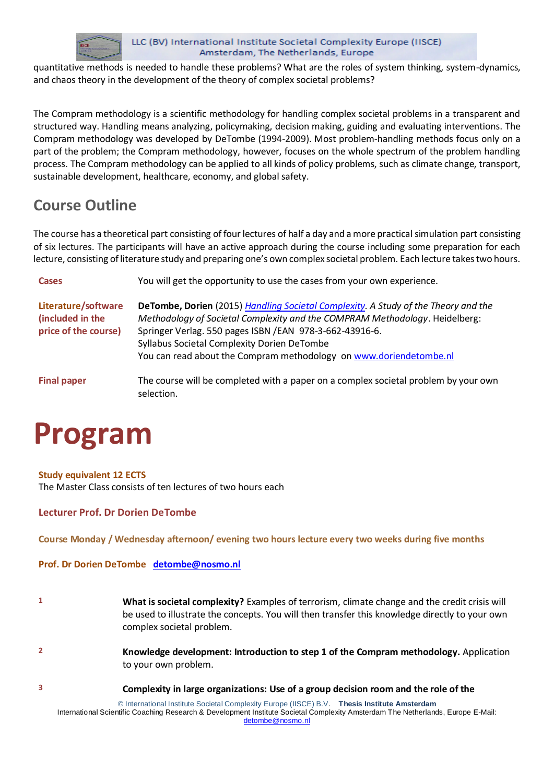

quantitative methods is needed to handle these problems? What are the roles of system thinking, system-dynamics, and chaos theory in the development of the theory of complex societal problems?

The Compram methodology is a scientific methodology for handling complex societal problems in a transparent and structured way. Handling means analyzing, policymaking, decision making, guiding and evaluating interventions. The Compram methodology was developed by DeTombe (1994-2009). Most problem-handling methods focus only on a part of the problem; the Compram methodology, however, focuses on the whole spectrum of the problem handling process. The Compram methodology can be applied to all kinds of policy problems, such as climate change, transport, sustainable development, healthcare, economy, and global safety.

### **Course Outline**

The course has a theoretical part consisting of four lectures of half a day and a more practical simulation part consisting of six lectures. The participants will have an active approach during the course including some preparation for each lecture, consisting of literature study and preparing one's own complex societal problem. Each lecture takes two hours.

| <b>Cases</b>                                                    | You will get the opportunity to use the cases from your own experience.                                                                                                                                                                                                                                                                                   |
|-----------------------------------------------------------------|-----------------------------------------------------------------------------------------------------------------------------------------------------------------------------------------------------------------------------------------------------------------------------------------------------------------------------------------------------------|
| Literature/software<br>(included in the<br>price of the course) | <b>DeTombe, Dorien</b> (2015) Handling Societal Complexity. A Study of the Theory and the<br>Methodology of Societal Complexity and the COMPRAM Methodology. Heidelberg:<br>Springer Verlag. 550 pages ISBN / EAN 978-3-662-43916-6.<br>Syllabus Societal Complexity Dorien DeTombe<br>You can read about the Compram methodology on www.doriendetombe.nl |
| <b>Final paper</b>                                              | The course will be completed with a paper on a complex societal problem by your own<br>selection.                                                                                                                                                                                                                                                         |

# **Program**

**Study equivalent 12 ECTS** The Master Class consists of ten lectures of two hours each

#### **Lecturer Prof. Dr Dorien DeTombe**

**Course Monday / Wednesday afternoon/ evening two hours lecture every two weeks during five months**

#### **Prof. Dr Dorien DeTombe [detombe@nosmo.nl](mailto:detombe@nosmo.nl)**

- **1 What is societal complexity?** Examples of terrorism, climate change and the credit crisis will be used to illustrate the concepts. You will then transfer this knowledge directly to your own complex societal problem.
- **2 Knowledge development: Introduction to step 1 of the Compram methodology.** Application to your own problem.
- **3 Complexity in large organizations: Use of a group decision room and the role of the**

© International Institute Societal Complexity Europe (IISCE) B.V. **Thesis Institute Amsterdam** International Scientific Coaching Research & Development Institute Societal Complexity Amsterdam The Netherlands, Europe E-Mail: detombe@nosmo.nl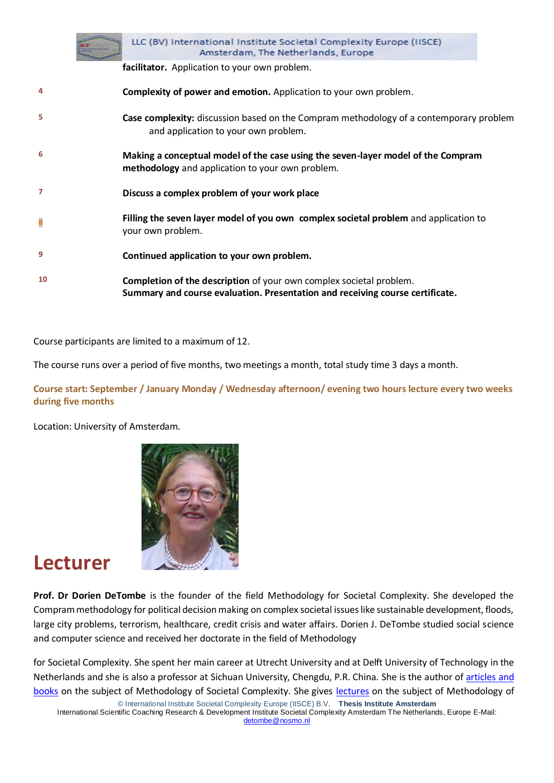

**facilitator.** Application to your own problem.

| 4  | <b>Complexity of power and emotion.</b> Application to your own problem.                                                                                    |
|----|-------------------------------------------------------------------------------------------------------------------------------------------------------------|
| 5  | Case complexity: discussion based on the Compram methodology of a contemporary problem<br>and application to your own problem.                              |
| 6  | Making a conceptual model of the case using the seven-layer model of the Compram<br>methodology and application to your own problem.                        |
| 7  | Discuss a complex problem of your work place                                                                                                                |
| 8  | Filling the seven layer model of you own complex societal problem and application to<br>your own problem.                                                   |
| 9  | Continued application to your own problem.                                                                                                                  |
| 10 | <b>Completion of the description</b> of your own complex societal problem.<br>Summary and course evaluation. Presentation and receiving course certificate. |

Course participants are limited to a maximum of 12.

The course runs over a period of five months, two meetings a month, total study time 3 days a month.

**Course start: September / January Monday / Wednesday afternoon/ evening two hours lecture every two weeks during five months**

Location: University of Amsterdam.



## **Lecturer**

**Prof. Dr Dorien DeTombe** is the founder of the field Methodology for Societal Complexity. She developed the Compram methodology for political decision making on complex societal issues like sustainable development, floods, large city problems, terrorism, healthcare, credit crisis and water affairs. Dorien J. DeTombe studied social science and computer science and received her doctorate in the field of Methodology

for Societal Complexity. She spent her main career at Utrecht University and at Delft University of Technology in the Netherlands and she is also a professor at Sichuan University, Chengdu, P.R. China. She is the author of articles and [books](http://www.complexitycourse.org/detombepublic.html) on the subject of Methodology of Societal Complexity. She gives [lectures](http://www.complexitycourse.org/detombelectures.html) on the subject of Methodology of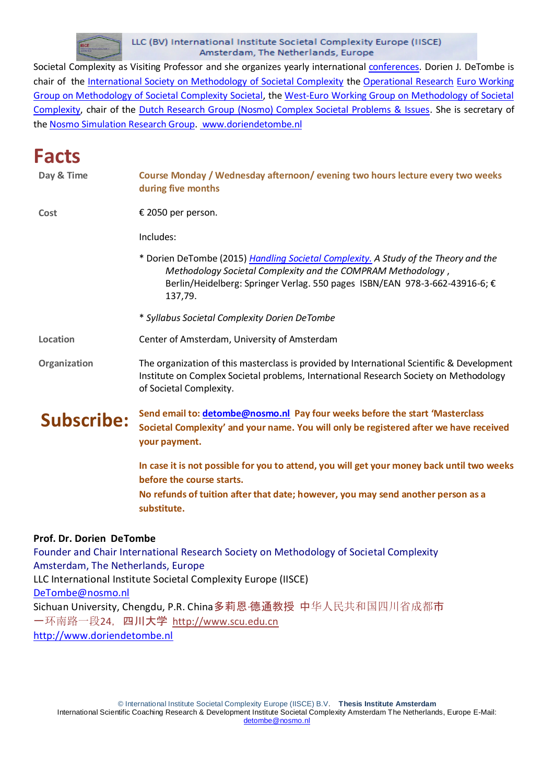

#### LLC (BV) International Institute Societal Complexity Europe (IISCE) Amsterdam, The Netherlands, Europe

Societal Complexity as Visiting Professor and she organizes yearly international [conferences.](http://www.complexitycourse.org/detombeconferences.html) Dorien J. DeTombe is chair of the [International Society on Methodology of Societal Complexity](http://www.complexitycourse.org/detombeinternatcomplex.html) the [Operational Research](http://www.complexitycourse.org/detombegoaleurocomplex.html) [Euro Working](http://www.complexitycourse.org/detombegoaleurocomplex.html)  [Group on Methodology of Societal Complexity Societal,](http://www.complexitycourse.org/detombegoaleurocomplex.html) the [West-Euro Working Group on Methodology of Societal](http://www.complexitycourse.org/detombewesteuroagenda2001.html)  [Complexity,](http://www.complexitycourse.org/detombewesteuroagenda2001.html) chair of the [Dutch Research Group \(Nosmo\) Complex Societal Problems & Issues.](http://www.complexitycourse.org/detombedoelnosmo.html) She is secretary of the [Nosmo Simulation Research Group.](http://nosmo.nl/index.html) [www.doriendetombe.nl](file:///C:/Users/thea/AppData/Local/Microsoft/Windows/Temporary%20Internet%20Files/Content.Outlook/J8KQLOBZ/www.doriendetombe.nl)

## **Facts**

| Day & Time                         | Course Monday / Wednesday afternoon/ evening two hours lecture every two weeks<br>during five months                                                                                                                                          |
|------------------------------------|-----------------------------------------------------------------------------------------------------------------------------------------------------------------------------------------------------------------------------------------------|
| Cost                               | € 2050 per person.                                                                                                                                                                                                                            |
|                                    | Includes:                                                                                                                                                                                                                                     |
|                                    | * Dorien DeTombe (2015) Handling Societal Complexity. A Study of the Theory and the<br>Methodology Societal Complexity and the COMPRAM Methodology,<br>Berlin/Heidelberg: Springer Verlag. 550 pages ISBN/EAN 978-3-662-43916-6; €<br>137,79. |
|                                    | * Syllabus Societal Complexity Dorien DeTombe                                                                                                                                                                                                 |
| Location                           | Center of Amsterdam, University of Amsterdam                                                                                                                                                                                                  |
| Organization                       | The organization of this masterclass is provided by International Scientific & Development<br>Institute on Complex Societal problems, International Research Society on Methodology<br>of Societal Complexity.                                |
| <b>Subscribe:</b>                  | Send email to: detombe@nosmo.nl Pay four weeks before the start 'Masterclass<br>Societal Complexity' and your name. You will only be registered after we have received<br>your payment.                                                       |
|                                    | In case it is not possible for you to attend, you will get your money back until two weeks<br>before the course starts.                                                                                                                       |
|                                    | No refunds of tuition after that date; however, you may send another person as a<br>substitute.                                                                                                                                               |
| Prof. Dr. Dorien DeTombe           |                                                                                                                                                                                                                                               |
| Amsterdam, The Netherlands, Europe | Founder and Chair International Research Society on Methodology of Societal Complexity                                                                                                                                                        |
|                                    | LLC International Institute Societal Complexity Europe (IISCE)                                                                                                                                                                                |

[DeTombe@nosmo.nl](mailto:DeTombe@nosmo.nl)

Sichuan University, Chengdu, P.R. China多莉恩·德通教授 中华人民共和国四川省成都市 一环南路一段24,四川大学 [http://www.scu.edu.cn](http://www.scu.edu.cn/) [http://www.doriendetombe.nl](http://www.doriendetombe.nl/)